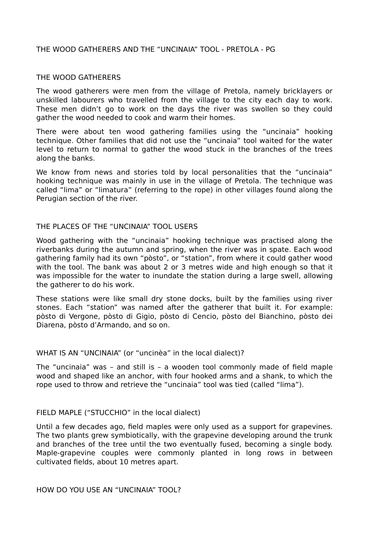# THE WOOD GATHERERS AND THE "UNCINAIA" TOOL - PRETOLA - PG

### THE WOOD GATHERERS

The wood gatherers were men from the village of Pretola, namely bricklayers or unskilled labourers who travelled from the village to the city each day to work. These men didn't go to work on the days the river was swollen so they could gather the wood needed to cook and warm their homes.

There were about ten wood gathering families using the "uncinaia" hooking technique. Other families that did not use the "uncinaia" tool waited for the water level to return to normal to gather the wood stuck in the branches of the trees along the banks.

We know from news and stories told by local personalities that the "uncinaia" hooking technique was mainly in use in the village of Pretola. The technique was called "lima" or "limatura" (referring to the rope) in other villages found along the Perugian section of the river.

### THE PLACES OF THE "UNCINAIA" TOOL USERS

Wood gathering with the "uncinaia" hooking technique was practised along the riverbanks during the autumn and spring, when the river was in spate. Each wood gathering family had its own "pòsto", or "station", from where it could gather wood with the tool. The bank was about 2 or 3 metres wide and high enough so that it was impossible for the water to inundate the station during a large swell, allowing the gatherer to do his work.

These stations were like small dry stone docks, built by the families using river stones. Each "station" was named after the gatherer that built it. For example: pòsto di Vergone, pòsto di Gigio, pòsto di Cencio, pòsto del Bianchino, pòsto dei Diarena, pòsto d'Armando, and so on.

#### WHAT IS AN "UNCINAIA" (or "uncinèa" in the local dialect)?

The "uncinaia" was – and still is – a wooden tool commonly made of field maple wood and shaped like an anchor, with four hooked arms and a shank, to which the rope used to throw and retrieve the "uncinaia" tool was tied (called "lima").

#### FIELD MAPLE ("STUCCHIO" in the local dialect)

Until a few decades ago, field maples were only used as a support for grapevines. The two plants grew symbiotically, with the grapevine developing around the trunk and branches of the tree until the two eventually fused, becoming a single body. Maple-grapevine couples were commonly planted in long rows in between cultivated fields, about 10 metres apart.

HOW DO YOU USE AN "UNCINAIA" TOOL?